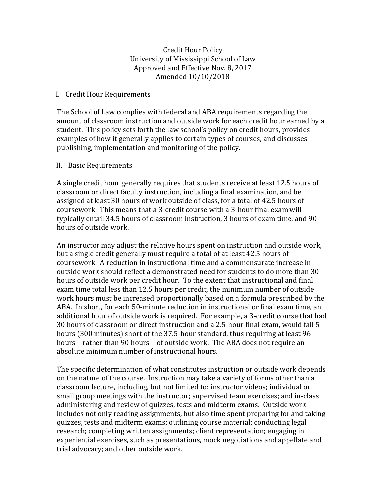Credit Hour Policy University of Mississippi School of Law Approved and Effective Nov. 8, 2017 Amended 10/10/2018

## I. Credit Hour Requirements

The School of Law complies with federal and ABA requirements regarding the amount of classroom instruction and outside work for each credit hour earned by a student. This policy sets forth the law school's policy on credit hours, provides examples of how it generally applies to certain types of courses, and discusses publishing, implementation and monitoring of the policy.

# II. Basic Requirements

A single credit hour generally requires that students receive at least 12.5 hours of classroom or direct faculty instruction, including a final examination, and be assigned at least 30 hours of work outside of class, for a total of 42.5 hours of coursework. This means that a 3-credit course with a 3-hour final exam will typically entail 34.5 hours of classroom instruction, 3 hours of exam time, and 90 hours of outside work.

An instructor may adjust the relative hours spent on instruction and outside work, but a single credit generally must require a total of at least 42.5 hours of coursework. A reduction in instructional time and a commensurate increase in outside work should reflect a demonstrated need for students to do more than 30 hours of outside work per credit hour. To the extent that instructional and final exam time total less than 12.5 hours per credit, the minimum number of outside work hours must be increased proportionally based on a formula prescribed by the ABA. In short, for each 50-minute reduction in instructional or final exam time, an additional hour of outside work is required. For example, a 3-credit course that had 30 hours of classroom or direct instruction and a 2.5-hour final exam, would fall 5 hours (300 minutes) short of the 37.5-hour standard, thus requiring at least 96 hours – rather than 90 hours – of outside work. The ABA does not require an absolute minimum number of instructional hours.

The specific determination of what constitutes instruction or outside work depends on the nature of the course. Instruction may take a variety of forms other than a classroom lecture, including, but not limited to: instructor videos; individual or small group meetings with the instructor; supervised team exercises; and in-class administering and review of quizzes, tests and midterm exams. Outside work includes not only reading assignments, but also time spent preparing for and taking quizzes, tests and midterm exams; outlining course material; conducting legal research; completing written assignments; client representation; engaging in experiential exercises, such as presentations, mock negotiations and appellate and trial advocacy; and other outside work.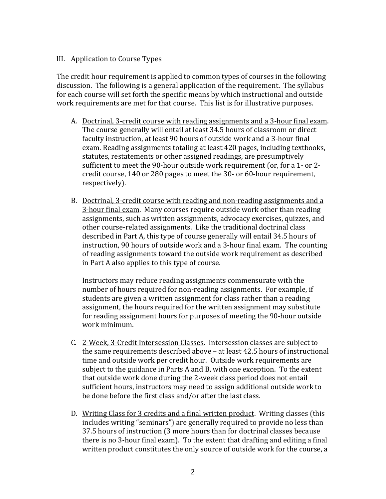# III. Application to Course Types

The credit hour requirement is applied to common types of courses in the following discussion. The following is a general application of the requirement. The syllabus for each course will set forth the specific means by which instructional and outside work requirements are met for that course. This list is for illustrative purposes.

- A. Doctrinal, 3-credit course with reading assignments and a 3-hour final exam. The course generally will entail at least 34.5 hours of classroom or direct faculty instruction, at least 90 hours of outside work and a 3-hour final exam. Reading assignments totaling at least 420 pages, including textbooks, statutes, restatements or other assigned readings, are presumptively sufficient to meet the 90-hour outside work requirement (or, for a 1- or 2 credit course, 140 or 280 pages to meet the 30- or 60-hour requirement, respectively).
- B. Doctrinal, 3-credit course with reading and non-reading assignments and a 3-hour final exam. Many courses require outside work other than reading assignments, such as written assignments, advocacy exercises, quizzes, and other course-related assignments. Like the traditional doctrinal class described in Part A, this type of course generally will entail 34.5 hours of instruction, 90 hours of outside work and a 3-hour final exam. The counting of reading assignments toward the outside work requirement as described in Part A also applies to this type of course.

Instructors may reduce reading assignments commensurate with the number of hours required for non-reading assignments. For example, if students are given a written assignment for class rather than a reading assignment, the hours required for the written assignment may substitute for reading assignment hours for purposes of meeting the 90-hour outside work minimum.

- C. 2-Week, 3-Credit Intersession Classes. Intersession classes are subject to the same requirements described above – at least 42.5 hours of instructional time and outside work per credit hour. Outside work requirements are subject to the guidance in Parts A and B, with one exception. To the extent that outside work done during the 2-week class period does not entail sufficient hours, instructors may need to assign additional outside work to be done before the first class and/or after the last class.
- D. Writing Class for 3 credits and a final written product. Writing classes (this includes writing "seminars") are generally required to provide no less than 37.5 hours of instruction (3 more hours than for doctrinal classes because there is no 3-hour final exam). To the extent that drafting and editing a final written product constitutes the only source of outside work for the course, a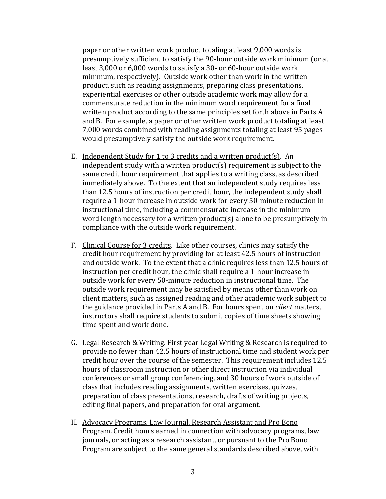paper or other written work product totaling at least 9,000 words is presumptively sufficient to satisfy the 90-hour outside work minimum (or at least 3,000 or 6,000 words to satisfy a 30- or 60-hour outside work minimum, respectively). Outside work other than work in the written product, such as reading assignments, preparing class presentations, experiential exercises or other outside academic work may allow for a commensurate reduction in the minimum word requirement for a final written product according to the same principles set forth above in Parts A and B. For example, a paper or other written work product totaling at least 7,000 words combined with reading assignments totaling at least 95 pages would presumptively satisfy the outside work requirement.

- E. Independent Study for 1 to 3 credits and a written product(s). An independent study with a written product(s) requirement is subject to the same credit hour requirement that applies to a writing class, as described immediately above. To the extent that an independent study requires less than 12.5 hours of instruction per credit hour, the independent study shall require a 1-hour increase in outside work for every 50-minute reduction in instructional time, including a commensurate increase in the minimum word length necessary for a written product(s) alone to be presumptively in compliance with the outside work requirement.
- F. Clinical Course for 3 credits. Like other courses, clinics may satisfy the credit hour requirement by providing for at least 42.5 hours of instruction and outside work. To the extent that a clinic requires less than 12.5 hours of instruction per credit hour, the clinic shall require a 1-hour increase in outside work for every 50-minute reduction in instructional time. The outside work requirement may be satisfied by means other than work on client matters, such as assigned reading and other academic work subject to the guidance provided in Parts A and B. For hours spent on *client* matters, instructors shall require students to submit copies of time sheets showing time spent and work done.
- G. Legal Research & Writing. First year Legal Writing & Research is required to provide no fewer than 42.5 hours of instructional time and student work per credit hour over the course of the semester. This requirement includes 12.5 hours of classroom instruction or other direct instruction via individual conferences or small group conferencing, and 30 hours of work outside of class that includes reading assignments, written exercises, quizzes, preparation of class presentations, research, drafts of writing projects, editing final papers, and preparation for oral argument.
- H. Advocacy Programs, Law Journal, Research Assistant and Pro Bono Program. Credit hours earned in connection with advocacy programs, law journals, or acting as a research assistant, or pursuant to the Pro Bono Program are subject to the same general standards described above, with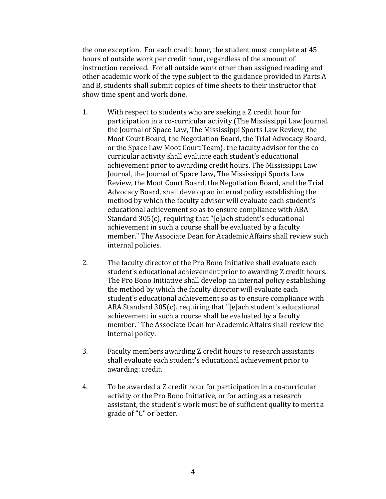the one exception. For each credit hour, the student must complete at 45 hours of outside work per credit hour, regardless of the amount of instruction received. For all outside work other than assigned reading and other academic work of the type subject to the guidance provided in Parts A and B, students shall submit copies of time sheets to their instructor that show time spent and work done.

- 1. With respect to students who are seeking a Z credit hour for participation in a co-curricular activity (The Mississippi Law Journal. the Journal of Space Law, The Mississippi Sports Law Review, the Moot Court Board, the Negotiation Board, the Trial Advocacy Board, or the Space Law Moot Court Team}, the faculty advisor for the cocurricular activity shall evaluate each student's educational achievement prior to awarding credit hours. The Mississippi Law Journal, the Journal of Space Law, The Mississippi Sports Law Review, the Moot Court Board, the Negotiation Board, and the Trial Advocacy Board, shall develop an internal policy establishing the method by which the faculty advisor will evaluate each student's educational achievement so as to ensure compliance with ABA Standard 305(c), requiring that "[e]ach student's educational achievement in such a course shall be evaluated by a faculty member." The Associate Dean for Academic Affairs shall review such internal policies.
- 2. The faculty director of the Pro Bono Initiative shall evaluate each student's educational achievement prior to awarding Z credit hours. The Pro Bono Initiative shall develop an internal policy establishing the method by which the faculty director will evaluate each student's educational achievement so as to ensure compliance with ABA Standard 305(c). requiring that "[e]ach student's educational achievement in such a course shall be evaluated by a faculty member." The Associate Dean for Academic Affairs shall review the internal policy.
- 3. Faculty members awarding Z credit hours to research assistants shall evaluate each student's educational achievement prior to awarding: credit.
- 4. To be awarded a Z credit hour for participation in a co-curricular activity or the Pro Bono Initiative, or for acting as a research assistant, the student's work must be of sufficient quality to merit a grade of "C" or better.